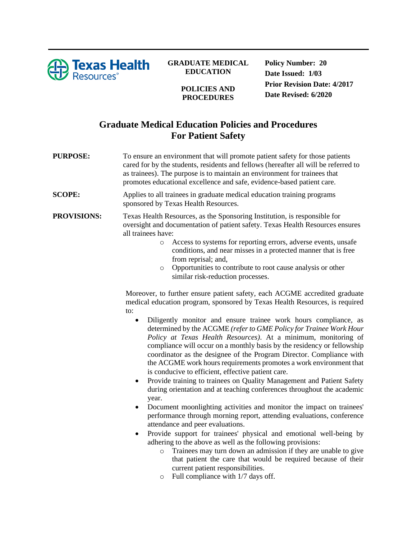

## **GRADUATE MEDICAL EDUCATION**

**POLICIES AND PROCEDURES**

**Policy Number: 20 Date Issued: 1/03 Prior Revision Date: 4/2017 Date Revised: 6/2020**

## **Graduate Medical Education Policies and Procedures For Patient Safety**

**PURPOSE:** To ensure an environment that will promote patient safety for those patients cared for by the students, residents and fellows (hereafter all will be referred to as trainees). The purpose is to maintain an environment for trainees that promotes educational excellence and safe, evidence-based patient care.

**SCOPE:** Applies to all trainees in graduate medical education training programs sponsored by Texas Health Resources.

**PROVISIONS:** Texas Health Resources, as the Sponsoring Institution, is responsible for oversight and documentation of patient safety. Texas Health Resources ensures all trainees have:

- o Access to systems for reporting errors, adverse events, unsafe conditions, and near misses in a protected manner that is free from reprisal; and,
- o Opportunities to contribute to root cause analysis or other similar risk-reduction processes.

Moreover, to further ensure patient safety, each ACGME accredited graduate medical education program, sponsored by Texas Health Resources, is required to:

- Diligently monitor and ensure trainee work hours compliance, as determined by the ACGME *(refer to GME Policy for Trainee Work Hour Policy at Texas Health Resources)*. At a minimum, monitoring of compliance will occur on a monthly basis by the residency or fellowship coordinator as the designee of the Program Director. Compliance with the ACGME work hours requirements promotes a work environment that is conducive to efficient, effective patient care.
- Provide training to trainees on Quality Management and Patient Safety during orientation and at teaching conferences throughout the academic year.
- Document moonlighting activities and monitor the impact on trainees' performance through morning report, attending evaluations, conference attendance and peer evaluations.
- Provide support for trainees' physical and emotional well-being by adhering to the above as well as the following provisions:
	- o Trainees may turn down an admission if they are unable to give that patient the care that would be required because of their current patient responsibilities.
	- o Full compliance with 1/7 days off.